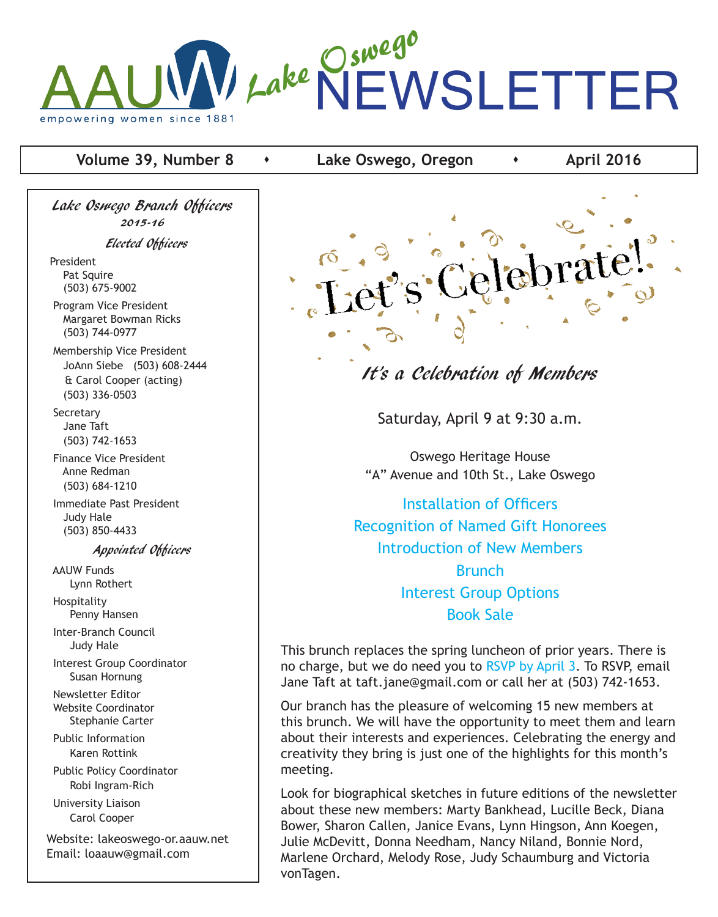

### **Volume 39, Number 8**  $\bullet$  **Lake Oswego, Oregon**  $\bullet$  **April 2016**

Lake Oswego Branch Officers 2015-16

Elected Officers

President Pat Squire (503) 675-9002

 Program Vice President Margaret Bowman Ricks (503) 744-0977

 Membership Vice President JoAnn Siebe (503) 608-2444 & Carol Cooper (acting) (503) 336-0503

**Secretary**  Jane Taft (503) 742-1653

 Finance Vice President Anne Redman (503) 684-1210

 Immediate Past President Judy Hale (503) 850-4433

Appointed Officers

 AAUW Funds Lynn Rothert

 Hospitality Penny Hansen Inter-Branch Council Judy Hale Interest Group Coordinator Susan Hornung Newsletter Editor Website Coordinator Stephanie Carter Public Information Karen Rottink Public Policy Coordinator Robi Ingram-Rich University Liaison Carol Cooper

Website: lakeoswego-or.aauw.net Email: loaauw@gmail.com



# It's a Celebration of Members

Saturday, April 9 at 9:30 a.m.

Oswego Heritage House "A" Avenue and 10th St., Lake Oswego

Installation of Officers Recognition of Named Gift Honorees Introduction of New Members Brunch Interest Group Options Book Sale

This brunch replaces the spring luncheon of prior years. There is no charge, but we do need you to RSVP by April 3. To RSVP, email Jane Taft at taft.jane@gmail.com or call her at (503) 742-1653.

Our branch has the pleasure of welcoming 15 new members at this brunch. We will have the opportunity to meet them and learn about their interests and experiences. Celebrating the energy and creativity they bring is just one of the highlights for this month's meeting.

Look for biographical sketches in future editions of the newsletter about these new members: Marty Bankhead, Lucille Beck, Diana Bower, Sharon Callen, Janice Evans, Lynn Hingson, Ann Koegen, Julie McDevitt, Donna Needham, Nancy Niland, Bonnie Nord, Marlene Orchard, Melody Rose, Judy Schaumburg and Victoria vonTagen.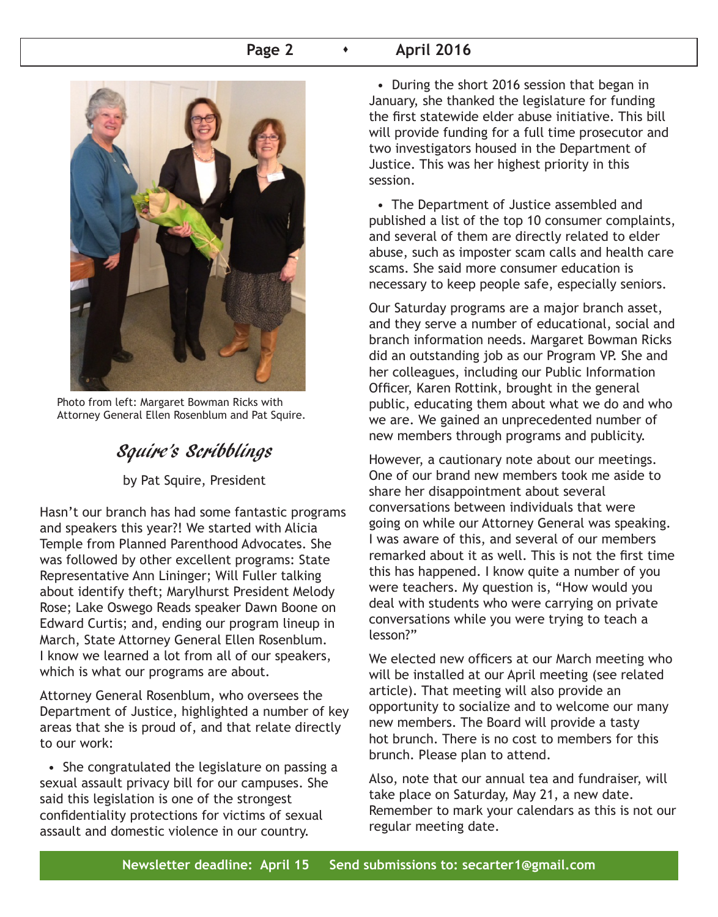### **Page 2 April 2016**



Photo from left: Margaret Bowman Ricks with Attorney General Ellen Rosenblum and Pat Squire.

# Squire's Scribblings

by Pat Squire, President

Hasn't our branch has had some fantastic programs and speakers this year?! We started with Alicia Temple from Planned Parenthood Advocates. She was followed by other excellent programs: State Representative Ann Lininger; Will Fuller talking about identify theft; Marylhurst President Melody Rose; Lake Oswego Reads speaker Dawn Boone on Edward Curtis; and, ending our program lineup in March, State Attorney General Ellen Rosenblum. I know we learned a lot from all of our speakers, which is what our programs are about.

Attorney General Rosenblum, who oversees the Department of Justice, highlighted a number of key areas that she is proud of, and that relate directly to our work:

 • She congratulated the legislature on passing a sexual assault privacy bill for our campuses. She said this legislation is one of the strongest confidentiality protections for victims of sexual assault and domestic violence in our country.

 • During the short 2016 session that began in January, she thanked the legislature for funding the first statewide elder abuse initiative. This bill will provide funding for a full time prosecutor and two investigators housed in the Department of Justice. This was her highest priority in this session.

 • The Department of Justice assembled and published a list of the top 10 consumer complaints, and several of them are directly related to elder abuse, such as imposter scam calls and health care scams. She said more consumer education is necessary to keep people safe, especially seniors.

Our Saturday programs are a major branch asset, and they serve a number of educational, social and branch information needs. Margaret Bowman Ricks did an outstanding job as our Program VP. She and her colleagues, including our Public Information Officer, Karen Rottink, brought in the general public, educating them about what we do and who we are. We gained an unprecedented number of new members through programs and publicity.

However, a cautionary note about our meetings. One of our brand new members took me aside to share her disappointment about several conversations between individuals that were going on while our Attorney General was speaking. I was aware of this, and several of our members remarked about it as well. This is not the first time this has happened. I know quite a number of you were teachers. My question is, "How would you deal with students who were carrying on private conversations while you were trying to teach a lesson?"

We elected new officers at our March meeting who will be installed at our April meeting (see related article). That meeting will also provide an opportunity to socialize and to welcome our many new members. The Board will provide a tasty hot brunch. There is no cost to members for this brunch. Please plan to attend.

Also, note that our annual tea and fundraiser, will take place on Saturday, May 21, a new date. Remember to mark your calendars as this is not our regular meeting date.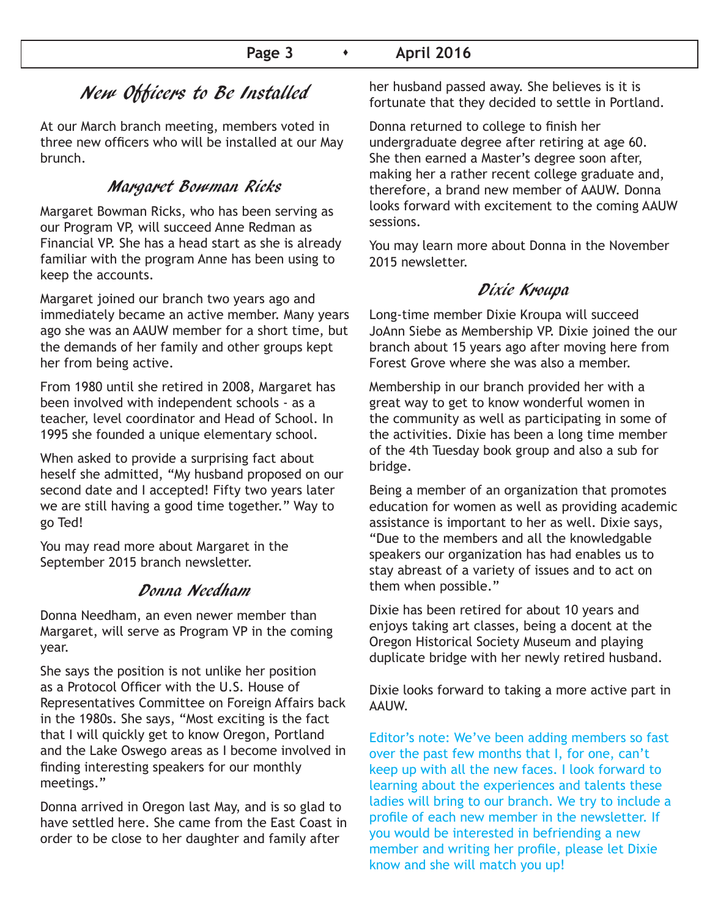# New Officers to Be Installed

At our March branch meeting, members voted in three new officers who will be installed at our May brunch.

# Margaret Bowman Ricks

Margaret Bowman Ricks, who has been serving as our Program VP, will succeed Anne Redman as Financial VP. She has a head start as she is already familiar with the program Anne has been using to keep the accounts.

Margaret joined our branch two years ago and immediately became an active member. Many years ago she was an AAUW member for a short time, but the demands of her family and other groups kept her from being active.

From 1980 until she retired in 2008, Margaret has been involved with independent schools - as a teacher, level coordinator and Head of School. In 1995 she founded a unique elementary school.

When asked to provide a surprising fact about heself she admitted, "My husband proposed on our second date and I accepted! Fifty two years later we are still having a good time together." Way to go Ted!

You may read more about Margaret in the September 2015 branch newsletter.

## Donna Needham

Donna Needham, an even newer member than Margaret, will serve as Program VP in the coming year.

She says the position is not unlike her position as a Protocol Officer with the U.S. House of Representatives Committee on Foreign Affairs back in the 1980s. She says, "Most exciting is the fact that I will quickly get to know Oregon, Portland and the Lake Oswego areas as I become involved in finding interesting speakers for our monthly meetings."

Donna arrived in Oregon last May, and is so glad to have settled here. She came from the East Coast in order to be close to her daughter and family after

her husband passed away. She believes is it is fortunate that they decided to settle in Portland.

Donna returned to college to finish her undergraduate degree after retiring at age 60. She then earned a Master's degree soon after, making her a rather recent college graduate and, therefore, a brand new member of AAUW. Donna looks forward with excitement to the coming AAUW sessions.

You may learn more about Donna in the November 2015 newsletter.

# Dixie Kroupa

Long-time member Dixie Kroupa will succeed JoAnn Siebe as Membership VP. Dixie joined the our branch about 15 years ago after moving here from Forest Grove where she was also a member.

Membership in our branch provided her with a great way to get to know wonderful women in the community as well as participating in some of the activities. Dixie has been a long time member of the 4th Tuesday book group and also a sub for bridge.

Being a member of an organization that promotes education for women as well as providing academic assistance is important to her as well. Dixie says, "Due to the members and all the knowledgable speakers our organization has had enables us to stay abreast of a variety of issues and to act on them when possible."

Dixie has been retired for about 10 years and enjoys taking art classes, being a docent at the Oregon Historical Society Museum and playing duplicate bridge with her newly retired husband.

Dixie looks forward to taking a more active part in AAUW.

Editor's note: We've been adding members so fast over the past few months that I, for one, can't keep up with all the new faces. I look forward to learning about the experiences and talents these ladies will bring to our branch. We try to include a profile of each new member in the newsletter. If you would be interested in befriending a new member and writing her profile, please let Dixie know and she will match you up!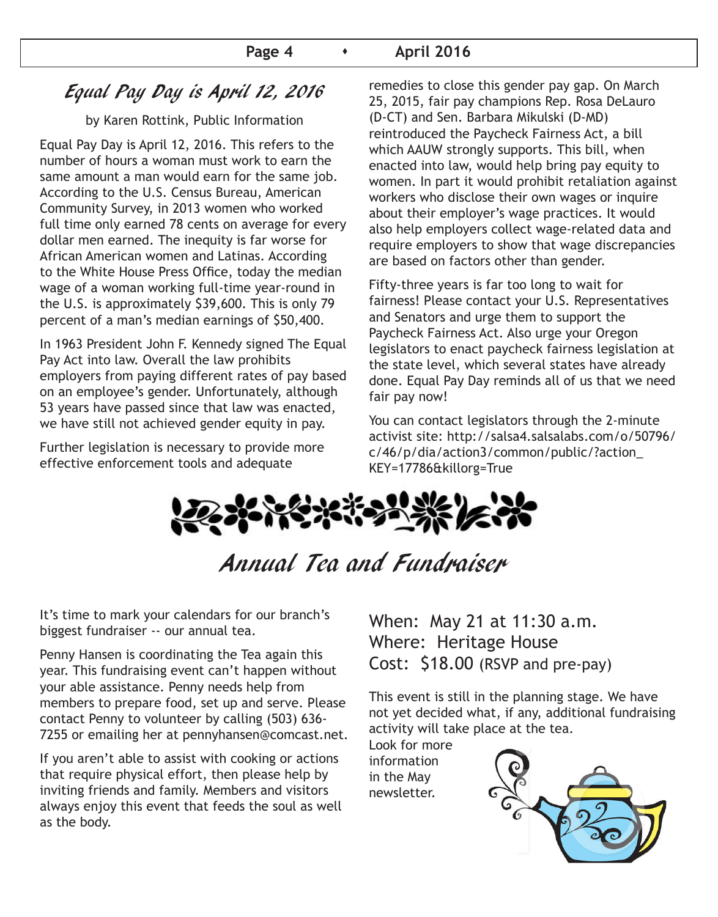# Equal Pay Day is April 12, 2016

### by Karen Rottink, Public Information

Equal Pay Day is April 12, 2016. This refers to the number of hours a woman must work to earn the same amount a man would earn for the same job. According to the U.S. Census Bureau, American Community Survey, in 2013 women who worked full time only earned 78 cents on average for every dollar men earned. The inequity is far worse for African American women and Latinas. According to the White House Press Office, today the median wage of a woman working full-time year-round in the U.S. is approximately \$39,600. This is only 79 percent of a man's median earnings of \$50,400.

In 1963 President John F. Kennedy signed The Equal Pay Act into law. Overall the law prohibits employers from paying different rates of pay based on an employee's gender. Unfortunately, although 53 years have passed since that law was enacted, we have still not achieved gender equity in pay.

Further legislation is necessary to provide more effective enforcement tools and adequate

remedies to close this gender pay gap. On March 25, 2015, fair pay champions Rep. Rosa DeLauro (D-CT) and Sen. Barbara Mikulski (D-MD) reintroduced the Paycheck Fairness Act, a bill which AAUW strongly supports. This bill, when enacted into law, would help bring pay equity to women. In part it would prohibit retaliation against workers who disclose their own wages or inquire about their employer's wage practices. It would also help employers collect wage-related data and require employers to show that wage discrepancies are based on factors other than gender.

Fifty-three years is far too long to wait for fairness! Please contact your U.S. Representatives and Senators and urge them to support the Paycheck Fairness Act. Also urge your Oregon legislators to enact paycheck fairness legislation at the state level, which several states have already done. Equal Pay Day reminds all of us that we need fair pay now!

You can contact legislators through the 2-minute activist site: http://salsa4.salsalabs.com/o/50796/ c/46/p/dia/action3/common/public/?action\_ KEY=17786&killorg=True



Annual Tea and Fundraiser

It's time to mark your calendars for our branch's biggest fundraiser -- our annual tea.

Penny Hansen is coordinating the Tea again this year. This fundraising event can't happen without your able assistance. Penny needs help from members to prepare food, set up and serve. Please contact Penny to volunteer by calling (503) 636- 7255 or emailing her at pennyhansen@comcast.net.

If you aren't able to assist with cooking or actions that require physical effort, then please help by inviting friends and family. Members and visitors always enjoy this event that feeds the soul as well as the body.

When: May 21 at 11:30 a.m. Where: Heritage House Cost: \$18.00 (RSVP and pre-pay)

This event is still in the planning stage. We have not yet decided what, if any, additional fundraising activity will take place at the tea.

Look for more information in the May newsletter.

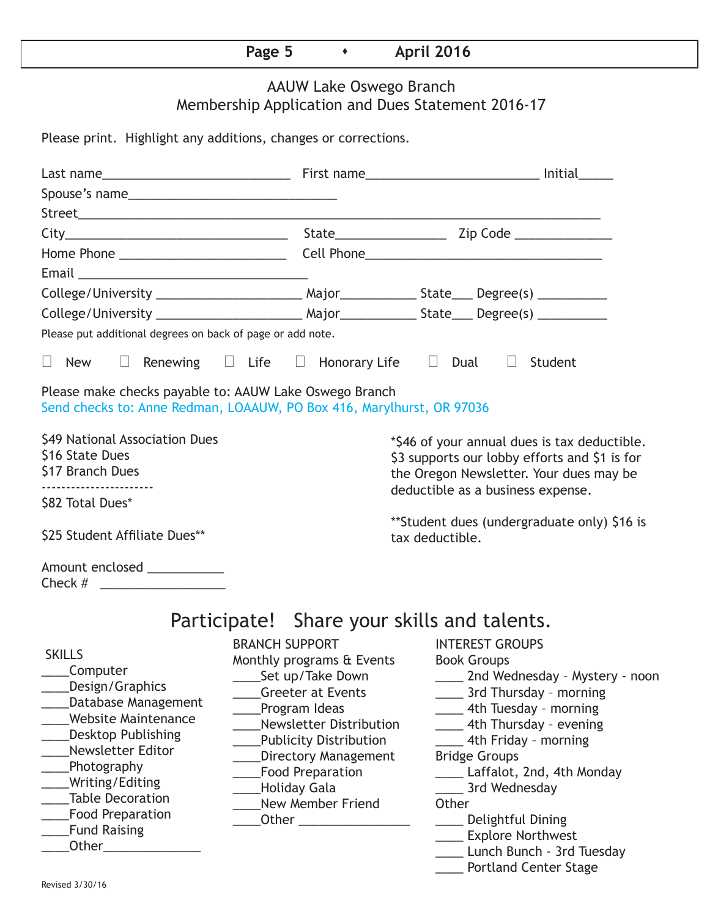# **Page 5 • April 2016**

# AAUW Lake Oswego Branch Membership Application and Dues Statement 2016-17

Please print. Highlight any additions, changes or corrections.

| Please put additional degrees on back of page or add note.                                                                                                                                                                                                                                       |                                                                                                                                                                                                                                                                   |                                                                                                                                                                                                                                                                                                                                                                                                                            |  |  |
|--------------------------------------------------------------------------------------------------------------------------------------------------------------------------------------------------------------------------------------------------------------------------------------------------|-------------------------------------------------------------------------------------------------------------------------------------------------------------------------------------------------------------------------------------------------------------------|----------------------------------------------------------------------------------------------------------------------------------------------------------------------------------------------------------------------------------------------------------------------------------------------------------------------------------------------------------------------------------------------------------------------------|--|--|
| $\Box$ New $\Box$ Renewing $\Box$ Life $\Box$ Honorary Life $\Box$ Dual $\Box$ Student                                                                                                                                                                                                           |                                                                                                                                                                                                                                                                   |                                                                                                                                                                                                                                                                                                                                                                                                                            |  |  |
| Please make checks payable to: AAUW Lake Oswego Branch<br>Send checks to: Anne Redman, LOAAUW, PO Box 416, Marylhurst, OR 97036                                                                                                                                                                  |                                                                                                                                                                                                                                                                   |                                                                                                                                                                                                                                                                                                                                                                                                                            |  |  |
| \$49 National Association Dues<br>\$16 State Dues<br>\$17 Branch Dues                                                                                                                                                                                                                            |                                                                                                                                                                                                                                                                   | *\$46 of your annual dues is tax deductible.<br>\$3 supports our lobby efforts and \$1 is for<br>the Oregon Newsletter. Your dues may be                                                                                                                                                                                                                                                                                   |  |  |
| \$82 Total Dues*                                                                                                                                                                                                                                                                                 |                                                                                                                                                                                                                                                                   | deductible as a business expense.                                                                                                                                                                                                                                                                                                                                                                                          |  |  |
| \$25 Student Affiliate Dues**                                                                                                                                                                                                                                                                    |                                                                                                                                                                                                                                                                   | **Student dues (undergraduate only) \$16 is<br>tax deductible.                                                                                                                                                                                                                                                                                                                                                             |  |  |
| Amount enclosed ___________<br>Check $\#$                                                                                                                                                                                                                                                        |                                                                                                                                                                                                                                                                   |                                                                                                                                                                                                                                                                                                                                                                                                                            |  |  |
|                                                                                                                                                                                                                                                                                                  |                                                                                                                                                                                                                                                                   | Participate! Share your skills and talents.                                                                                                                                                                                                                                                                                                                                                                                |  |  |
| <b>SKILLS</b><br>Computer<br>Design/Graphics<br>Database Management<br><b>Website Maintenance</b><br><b>Desktop Publishing</b><br>Newsletter Editor<br>Photography<br>Writing/Editing<br><b>Table Decoration</b><br><b>Food Preparation</b><br><b>Fund Raising</b><br>Other <b>Communication</b> | <b>BRANCH SUPPORT</b><br>Monthly programs & Events<br>Set up/Take Down<br><b>Greeter at Events</b><br>Program Ideas<br>Newsletter Distribution<br>__Publicity Distribution<br>Directory Management<br>___Food Preparation<br>___Holiday Gala<br>New Member Friend | <b>INTEREST GROUPS</b><br><b>Book Groups</b><br>____ 2nd Wednesday - Mystery - noon<br>______ 3rd Thursday - morning<br>_____ 4th Tuesday - morning<br>____ 4th Thursday - evening<br>4th Friday - morning<br><b>Bridge Groups</b><br>____ Laffalot, 2nd, 4th Monday<br>_____ 3rd Wednesday<br>Other<br>____ Delightful Dining<br>____ Explore Northwest<br>____ Lunch Bunch - 3rd Tuesday<br><b>Portland Center Stage</b> |  |  |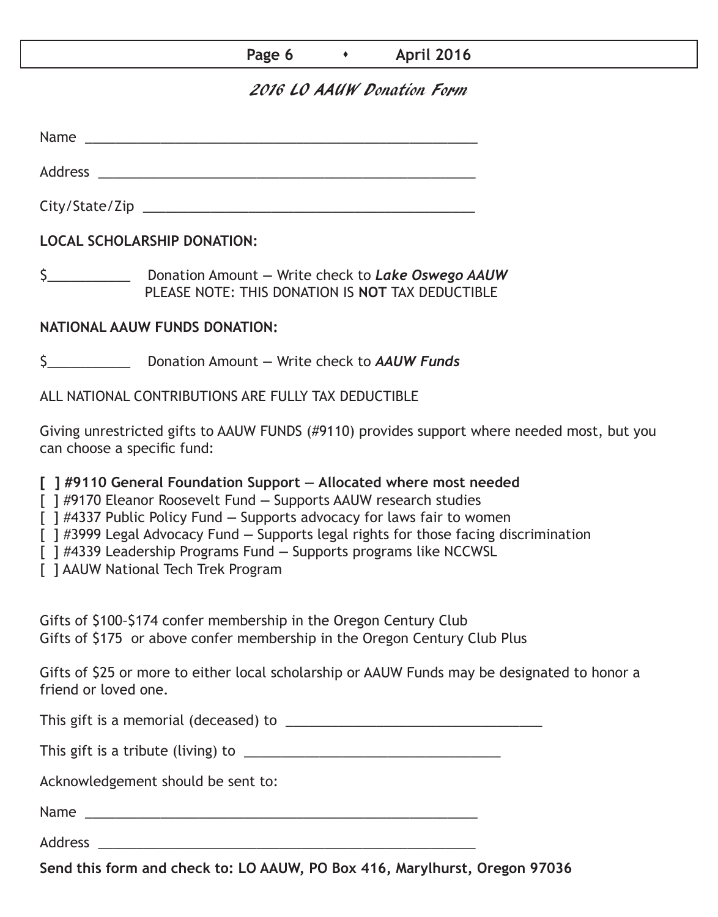## **Page 6 • April 2016**

## 2016 LO AAUW Donation Form

Name was also as  $\sim$  100  $\mu$  and  $\mu$  and  $\mu$  and  $\mu$  and  $\mu$  and  $\mu$  and  $\mu$  and  $\mu$  and  $\mu$  and  $\mu$  and  $\mu$  and  $\mu$  and  $\mu$  and  $\mu$  and  $\mu$  and  $\mu$  and  $\mu$  and  $\mu$  and  $\mu$  and  $\mu$  and  $\mu$  and  $\mu$  an

City/State/Zip 2000 and 2000 and 2000 and 2000 and 2000 and 2000 and 2000 and 2000 and 2000 and 200

Address \_\_\_\_\_\_\_\_\_\_\_\_\_\_\_\_\_\_\_\_\_\_\_\_\_\_\_\_\_\_\_\_\_\_\_\_\_\_\_\_\_\_\_\_\_\_\_\_\_\_

**LOCAL SCHOLARSHIP DONATION:**

\$\_\_\_\_\_\_\_\_\_\_\_ Donation Amount **—** Write check to *Lake Oswego AAUW* PLEASE NOTE: THIS DONATION IS **NOT** TAX DEDUCTIBLE

## **NATIONAL AAUW FUNDS DONATION:**

\$\_\_\_\_\_\_\_\_\_\_\_ Donation Amount **—** Write check to *AAUW Funds*

ALL NATIONAL CONTRIBUTIONS ARE FULLY TAX DEDUCTIBLE

Giving unrestricted gifts to AAUW FUNDS (#9110) provides support where needed most, but you can choose a specific fund:

**[ ] #9110 General Foundation Support — Allocated where most needed** 

[ ] #9170 Eleanor Roosevelt Fund **—** Supports AAUW research studies

[ ] #4337 Public Policy Fund **—** Supports advocacy for laws fair to women

[ ] #3999 Legal Advocacy Fund **—** Supports legal rights for those facing discrimination

[ ] #4339 Leadership Programs Fund **—** Supports programs like NCCWSL

[ ] AAUW National Tech Trek Program

Gifts of \$100–\$174 confer membership in the Oregon Century Club Gifts of \$175 or above confer membership in the Oregon Century Club Plus

Gifts of \$25 or more to either local scholarship or AAUW Funds may be designated to honor a friend or loved one.

This gift is a memorial (deceased) to \_\_\_\_\_\_\_\_\_\_\_\_\_\_\_\_\_\_\_\_\_\_\_\_\_\_\_\_\_\_\_\_\_\_

This gift is a tribute (living) to \_\_\_\_\_\_\_\_\_\_\_\_\_\_\_\_\_\_\_\_\_\_\_\_\_\_\_\_\_\_\_\_\_\_

Acknowledgement should be sent to:

Name \_\_\_\_\_\_\_\_\_\_\_\_\_\_\_\_\_\_\_\_\_\_\_\_\_\_\_\_\_\_\_\_\_\_\_\_\_\_\_\_\_\_\_\_\_\_\_\_\_\_\_\_

Address \_\_\_\_\_\_\_\_\_\_\_\_\_\_\_\_\_\_\_\_\_\_\_\_\_\_\_\_\_\_\_\_\_\_\_\_\_\_\_\_\_\_\_\_\_\_\_\_\_\_

**Send this form and check to: LO AAUW, PO Box 416, Marylhurst, Oregon 97036**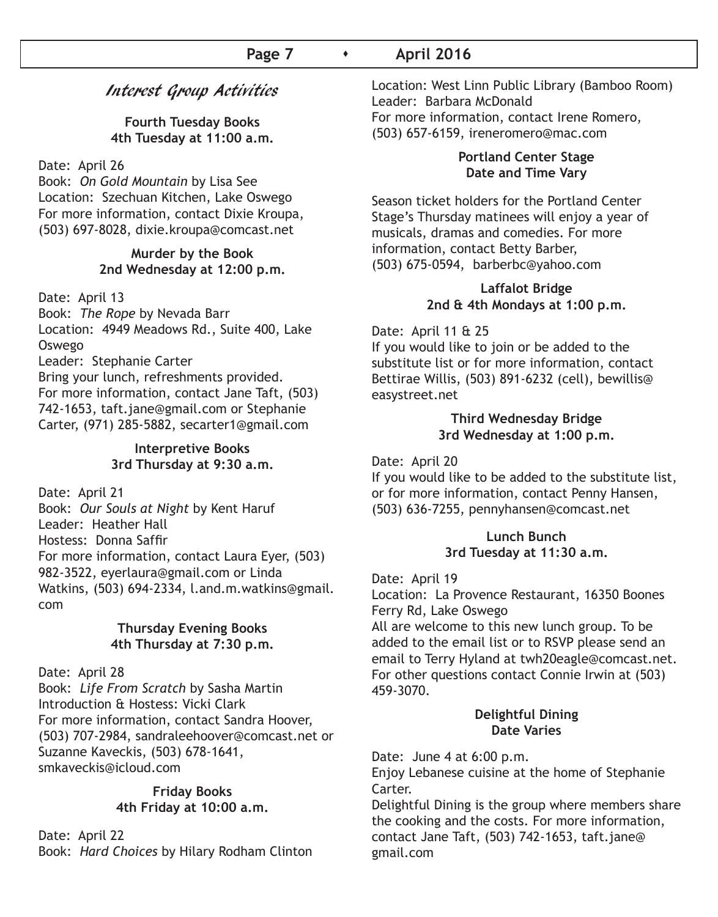### **Page 7 • April 2016**

## Interest Group Activities

**Fourth Tuesday Books 4th Tuesday at 11:00 a.m.**

Date: April 26

Book: *On Gold Mountain* by Lisa See Location: Szechuan Kitchen, Lake Oswego For more information, contact Dixie Kroupa, (503) 697-8028, dixie.kroupa@comcast.net

#### **Murder by the Book 2nd Wednesday at 12:00 p.m.**

Date: April 13

Book: *The Rope* by Nevada Barr Location: 4949 Meadows Rd., Suite 400, Lake Oswego

Leader: Stephanie Carter

Bring your lunch, refreshments provided. For more information, contact Jane Taft, (503) 742-1653, taft.jane@gmail.com or Stephanie Carter, (971) 285-5882, secarter1@gmail.com

#### **Interpretive Books 3rd Thursday at 9:30 a.m.**

Date: April 21

Book: *Our Souls at Night* by Kent Haruf Leader: Heather Hall Hostess: Donna Saffir For more information, contact Laura Eyer, (503) 982-3522, eyerlaura@gmail.com or Linda Watkins, (503) 694-2334, l.and.m.watkins@gmail. com

#### **Thursday Evening Books 4th Thursday at 7:30 p.m.**

Date: April 28

Book: *Life From Scratch* by Sasha Martin Introduction & Hostess: Vicki Clark For more information, contact Sandra Hoover, (503) 707-2984, sandraleehoover@comcast.net or Suzanne Kaveckis, (503) 678-1641, smkaveckis@icloud.com

#### **Friday Books 4th Friday at 10:00 a.m.**

Date: April 22 Book: *Hard Choices* by Hilary Rodham Clinton Location: West Linn Public Library (Bamboo Room) Leader: Barbara McDonald For more information, contact Irene Romero, (503) 657-6159, ireneromero@mac.com

#### **Portland Center Stage Date and Time Vary**

Season ticket holders for the Portland Center Stage's Thursday matinees will enjoy a year of musicals, dramas and comedies. For more information, contact Betty Barber, (503) 675-0594, barberbc@yahoo.com

#### **Laffalot Bridge 2nd & 4th Mondays at 1:00 p.m.**

Date: April 11 & 25

If you would like to join or be added to the substitute list or for more information, contact Bettirae Willis, (503) 891-6232 (cell), bewillis@ easystreet.net

#### **Third Wednesday Bridge 3rd Wednesday at 1:00 p.m.**

Date: April 20

If you would like to be added to the substitute list, or for more information, contact Penny Hansen, (503) 636-7255, pennyhansen@comcast.net

#### **Lunch Bunch 3rd Tuesday at 11:30 a.m.**

Date: April 19

Location: La Provence Restaurant, 16350 Boones Ferry Rd, Lake Oswego

All are welcome to this new lunch group. To be added to the email list or to RSVP please send an email to Terry Hyland at twh20eagle@comcast.net. For other questions contact Connie Irwin at (503) 459-3070.

#### **Delightful Dining Date Varies**

Date: June 4 at 6:00 p.m.

Enjoy Lebanese cuisine at the home of Stephanie Carter.

Delightful Dining is the group where members share the cooking and the costs. For more information, contact Jane Taft, (503) 742-1653, taft.jane@ gmail.com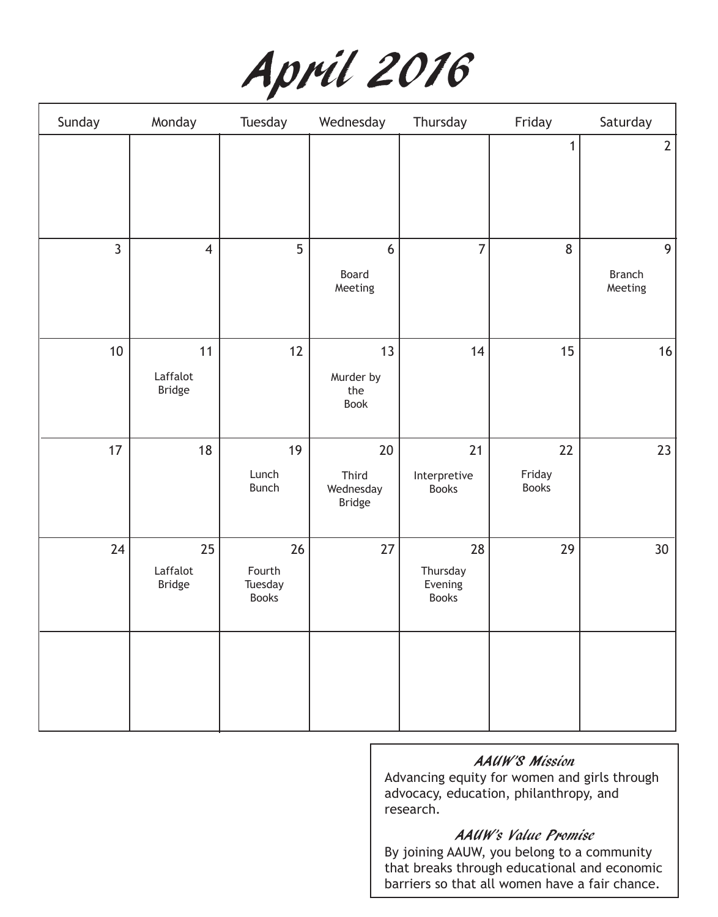|  | April 2016 |  |
|--|------------|--|
|--|------------|--|

| Sunday          | Monday                          | Tuesday                                 | Wednesday                                     | Thursday                                  | Friday                       | Saturday                      |
|-----------------|---------------------------------|-----------------------------------------|-----------------------------------------------|-------------------------------------------|------------------------------|-------------------------------|
|                 |                                 |                                         |                                               |                                           | $\mathbf 1$                  | $\overline{2}$                |
| $\overline{3}$  | $\overline{4}$                  | 5                                       | 6<br>Board<br>Meeting                         | $\overline{7}$                            | 8                            | 9<br><b>Branch</b><br>Meeting |
| 10 <sup>1</sup> | 11<br>Laffalot<br><b>Bridge</b> | 12                                      | 13<br>Murder by<br>the<br>Book                | 14                                        | 15                           | $16$                          |
| 17              | 18                              | 19<br>Lunch<br><b>Bunch</b>             | $20\,$<br>Third<br>Wednesday<br><b>Bridge</b> | 21<br>Interpretive<br><b>Books</b>        | 22<br>Friday<br><b>Books</b> | 23                            |
| 24              | 25<br>Laffalot<br><b>Bridge</b> | 26<br>Fourth<br>Tuesday<br><b>Books</b> | 27                                            | 28<br>Thursday<br>Evening<br><b>Books</b> | 29                           | 30 <sup>°</sup>               |
|                 |                                 |                                         |                                               |                                           |                              |                               |

## AAUW'S Mission

Advancing equity for women and girls through advocacy, education, philanthropy, and research.

## AAUW's Value Promise

By joining AAUW, you belong to a community that breaks through educational and economic barriers so that all women have a fair chance.